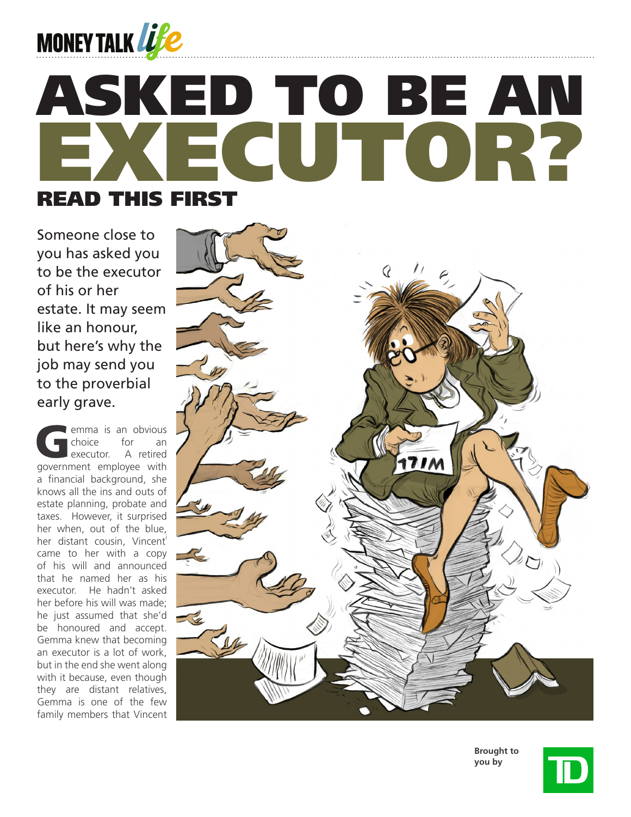

# ECUTOR? ASKED TO BE AN READ THIS FIRST

Someone close to you has asked you to be the executor of his or her estate. It may seem like an honour, but here's why the job may send you to the proverbial early grave.

emma is an obvious<br>Choice for an choice executor. A retired government employee with a financial background, she knows all the ins and outs of estate planning, probate and taxes. However, it surprised her when, out of the blue, her distant cousin, Vincent<sup>i</sup> came to her with a copy of his will and announced that he named her as his executor. He hadn't asked her before his will was made; he just assumed that she'd be honoured and accept. Gemma knew that becoming an executor is a lot of work, but in the end she went along with it because, even though they are distant relatives, Gemma is one of the few family members that Vincent



**Brought to you by**

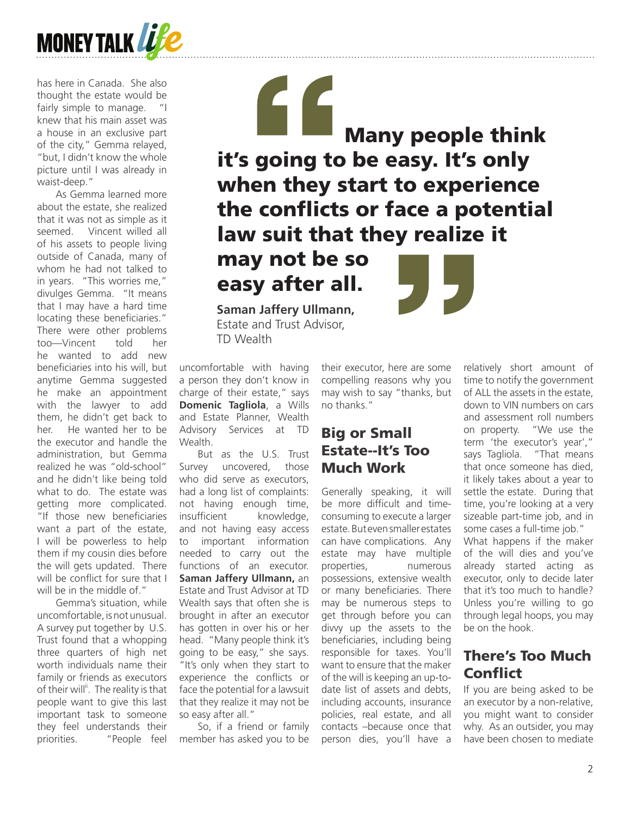

has here in Canada. She also thought the estate would be fairly simple to manage. "I knew that his main asset was a house in an exclusive part of the city," Gemma relayed, "but, I didn't know the whole picture until I was already in waist-deep."

As Gemma learned more about the estate, she realized that it was not as simple as it seemed. Vincent willed all of his assets to people living outside of Canada, many of whom he had not talked to in years. "This worries me," divulges Gemma. "It means that I may have a hard time locating these beneficiaries." There were other problems too—Vincent told her he wanted to add new beneficiaries into his will, but anytime Gemma suggested he make an appointment with the lawyer to add them, he didn't get back to her. He wanted her to be the executor and handle the administration, but Gemma realized he was "old-school" and he didn't like being told what to do. The estate was getting more complicated. "If those new beneficiaries want a part of the estate, I will be powerless to help them if my cousin dies before the will gets updated. There will be conflict for sure that I will be in the middle of."

Gemma's situation, while uncomfortable, is not unusual. A survey put together by U.S. Trust found that a whopping three quarters of high net worth individuals name their family or friends as executors of their will<sup>ii</sup>. The reality is that people want to give this last important task to someone they feel understands their priorities. "People feel

" Many people think it's going to be easy. It's only when they start to experience the conflicts or face a potential law suit that they realize it

may not be so easy after all.

**Saman Jaffery Ullmann,** Estate and Trust Advisor, TD Wealth

uncomfortable with having a person they don't know in charge of their estate," says **Domenic Tagliola**, a Wills and Estate Planner, Wealth Advisory Services at TD Wealth.

But as the U.S. Trust Survey uncovered, those who did serve as executors. had a long list of complaints: not having enough time, insufficient knowledge, and not having easy access to important information needed to carry out the functions of an executor. **Saman Jaffery Ullmann,** an Estate and Trust Advisor at TD Wealth says that often she is brought in after an executor has gotten in over his or her head. "Many people think it's going to be easy," she says. "It's only when they start to experience the conflicts or face the potential for a lawsuit that they realize it may not be so easy after all."

So, if a friend or family member has asked you to be

their executor, here are some compelling reasons why you may wish to say "thanks, but no thanks."

#### Big or Small Estate--It's Too Much Work

Generally speaking, it will be more difficult and timeconsuming to execute a larger estate. But even smaller estates can have complications. Any estate may have multiple properties, numerous possessions, extensive wealth or many beneficiaries. There may be numerous steps to get through before you can divvy up the assets to the beneficiaries, including being responsible for taxes. You'll want to ensure that the maker of the will is keeping an up-todate list of assets and debts, including accounts, insurance policies, real estate, and all contacts –because once that person dies, you'll have a

relatively short amount of time to notify the government of ALL the assets in the estate, down to VIN numbers on cars and assessment roll numbers on property. "We use the term 'the executor's year'," says Tagliola. "That means that once someone has died, it likely takes about a year to settle the estate. During that time, you're looking at a very sizeable part-time job, and in some cases a full-time job." What happens if the maker of the will dies and you've already started acting as executor, only to decide later that it's too much to handle? Unless you're willing to go through legal hoops, you may be on the hook.

### There's Too Much Conflict

If you are being asked to be an executor by a non-relative, you might want to consider why. As an outsider, you may have been chosen to mediate